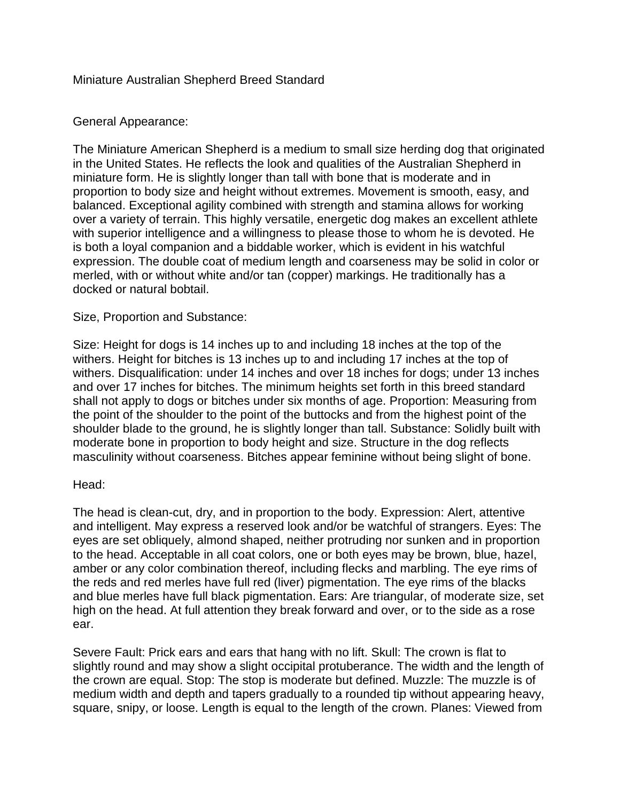# Miniature Australian Shepherd Breed Standard

# General Appearance:

The Miniature American Shepherd is a medium to small size herding dog that originated in the United States. He reflects the look and qualities of the Australian Shepherd in miniature form. He is slightly longer than tall with bone that is moderate and in proportion to body size and height without extremes. Movement is smooth, easy, and balanced. Exceptional agility combined with strength and stamina allows for working over a variety of terrain. This highly versatile, energetic dog makes an excellent athlete with superior intelligence and a willingness to please those to whom he is devoted. He is both a loyal companion and a biddable worker, which is evident in his watchful expression. The double coat of medium length and coarseness may be solid in color or merled, with or without white and/or tan (copper) markings. He traditionally has a docked or natural bobtail.

## Size, Proportion and Substance:

Size: Height for dogs is 14 inches up to and including 18 inches at the top of the withers. Height for bitches is 13 inches up to and including 17 inches at the top of withers. Disqualification: under 14 inches and over 18 inches for dogs; under 13 inches and over 17 inches for bitches. The minimum heights set forth in this breed standard shall not apply to dogs or bitches under six months of age. Proportion: Measuring from the point of the shoulder to the point of the buttocks and from the highest point of the shoulder blade to the ground, he is slightly longer than tall. Substance: Solidly built with moderate bone in proportion to body height and size. Structure in the dog reflects masculinity without coarseness. Bitches appear feminine without being slight of bone.

## Head:

The head is clean-cut, dry, and in proportion to the body. Expression: Alert, attentive and intelligent. May express a reserved look and/or be watchful of strangers. Eyes: The eyes are set obliquely, almond shaped, neither protruding nor sunken and in proportion to the head. Acceptable in all coat colors, one or both eyes may be brown, blue, hazel, amber or any color combination thereof, including flecks and marbling. The eye rims of the reds and red merles have full red (liver) pigmentation. The eye rims of the blacks and blue merles have full black pigmentation. Ears: Are triangular, of moderate size, set high on the head. At full attention they break forward and over, or to the side as a rose ear.

Severe Fault: Prick ears and ears that hang with no lift. Skull: The crown is flat to slightly round and may show a slight occipital protuberance. The width and the length of the crown are equal. Stop: The stop is moderate but defined. Muzzle: The muzzle is of medium width and depth and tapers gradually to a rounded tip without appearing heavy, square, snipy, or loose. Length is equal to the length of the crown. Planes: Viewed from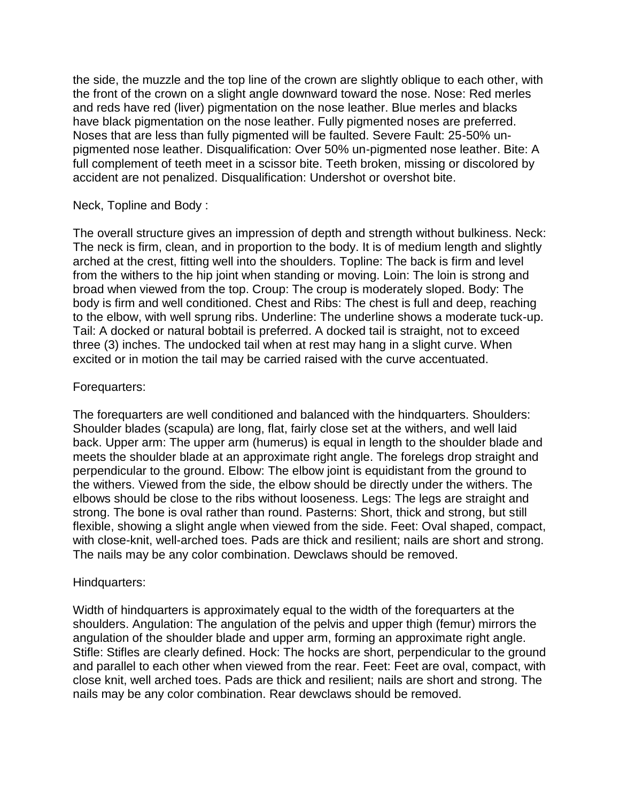the side, the muzzle and the top line of the crown are slightly oblique to each other, with the front of the crown on a slight angle downward toward the nose. Nose: Red merles and reds have red (liver) pigmentation on the nose leather. Blue merles and blacks have black pigmentation on the nose leather. Fully pigmented noses are preferred. Noses that are less than fully pigmented will be faulted. Severe Fault: 25-50% unpigmented nose leather. Disqualification: Over 50% un-pigmented nose leather. Bite: A full complement of teeth meet in a scissor bite. Teeth broken, missing or discolored by accident are not penalized. Disqualification: Undershot or overshot bite.

### Neck, Topline and Body :

The overall structure gives an impression of depth and strength without bulkiness. Neck: The neck is firm, clean, and in proportion to the body. It is of medium length and slightly arched at the crest, fitting well into the shoulders. Topline: The back is firm and level from the withers to the hip joint when standing or moving. Loin: The loin is strong and broad when viewed from the top. Croup: The croup is moderately sloped. Body: The body is firm and well conditioned. Chest and Ribs: The chest is full and deep, reaching to the elbow, with well sprung ribs. Underline: The underline shows a moderate tuck-up. Tail: A docked or natural bobtail is preferred. A docked tail is straight, not to exceed three (3) inches. The undocked tail when at rest may hang in a slight curve. When excited or in motion the tail may be carried raised with the curve accentuated.

### Forequarters:

The forequarters are well conditioned and balanced with the hindquarters. Shoulders: Shoulder blades (scapula) are long, flat, fairly close set at the withers, and well laid back. Upper arm: The upper arm (humerus) is equal in length to the shoulder blade and meets the shoulder blade at an approximate right angle. The forelegs drop straight and perpendicular to the ground. Elbow: The elbow joint is equidistant from the ground to the withers. Viewed from the side, the elbow should be directly under the withers. The elbows should be close to the ribs without looseness. Legs: The legs are straight and strong. The bone is oval rather than round. Pasterns: Short, thick and strong, but still flexible, showing a slight angle when viewed from the side. Feet: Oval shaped, compact, with close-knit, well-arched toes. Pads are thick and resilient; nails are short and strong. The nails may be any color combination. Dewclaws should be removed.

#### Hindquarters:

Width of hindquarters is approximately equal to the width of the forequarters at the shoulders. Angulation: The angulation of the pelvis and upper thigh (femur) mirrors the angulation of the shoulder blade and upper arm, forming an approximate right angle. Stifle: Stifles are clearly defined. Hock: The hocks are short, perpendicular to the ground and parallel to each other when viewed from the rear. Feet: Feet are oval, compact, with close knit, well arched toes. Pads are thick and resilient; nails are short and strong. The nails may be any color combination. Rear dewclaws should be removed.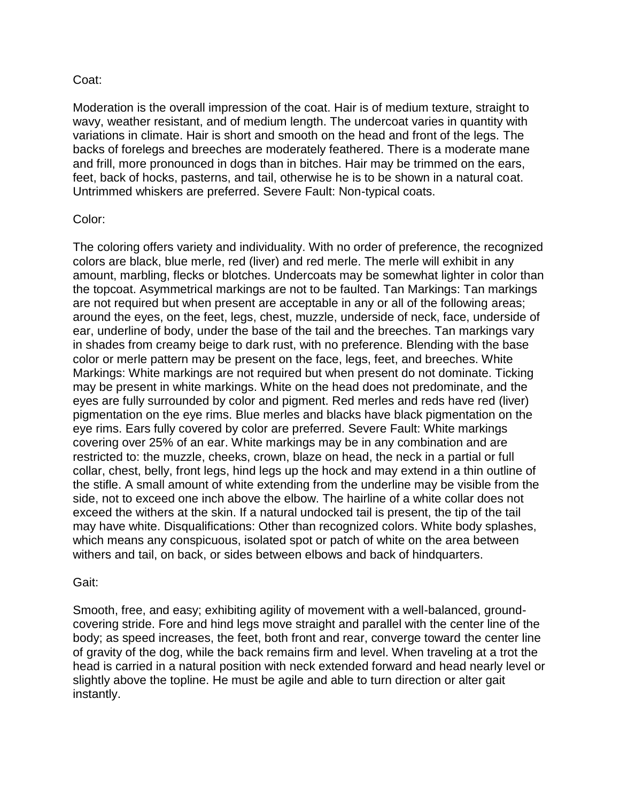## Coat:

Moderation is the overall impression of the coat. Hair is of medium texture, straight to wavy, weather resistant, and of medium length. The undercoat varies in quantity with variations in climate. Hair is short and smooth on the head and front of the legs. The backs of forelegs and breeches are moderately feathered. There is a moderate mane and frill, more pronounced in dogs than in bitches. Hair may be trimmed on the ears, feet, back of hocks, pasterns, and tail, otherwise he is to be shown in a natural coat. Untrimmed whiskers are preferred. Severe Fault: Non-typical coats.

## Color:

The coloring offers variety and individuality. With no order of preference, the recognized colors are black, blue merle, red (liver) and red merle. The merle will exhibit in any amount, marbling, flecks or blotches. Undercoats may be somewhat lighter in color than the topcoat. Asymmetrical markings are not to be faulted. Tan Markings: Tan markings are not required but when present are acceptable in any or all of the following areas; around the eyes, on the feet, legs, chest, muzzle, underside of neck, face, underside of ear, underline of body, under the base of the tail and the breeches. Tan markings vary in shades from creamy beige to dark rust, with no preference. Blending with the base color or merle pattern may be present on the face, legs, feet, and breeches. White Markings: White markings are not required but when present do not dominate. Ticking may be present in white markings. White on the head does not predominate, and the eyes are fully surrounded by color and pigment. Red merles and reds have red (liver) pigmentation on the eye rims. Blue merles and blacks have black pigmentation on the eye rims. Ears fully covered by color are preferred. Severe Fault: White markings covering over 25% of an ear. White markings may be in any combination and are restricted to: the muzzle, cheeks, crown, blaze on head, the neck in a partial or full collar, chest, belly, front legs, hind legs up the hock and may extend in a thin outline of the stifle. A small amount of white extending from the underline may be visible from the side, not to exceed one inch above the elbow. The hairline of a white collar does not exceed the withers at the skin. If a natural undocked tail is present, the tip of the tail may have white. Disqualifications: Other than recognized colors. White body splashes, which means any conspicuous, isolated spot or patch of white on the area between withers and tail, on back, or sides between elbows and back of hindquarters.

## Gait:

Smooth, free, and easy; exhibiting agility of movement with a well-balanced, groundcovering stride. Fore and hind legs move straight and parallel with the center line of the body; as speed increases, the feet, both front and rear, converge toward the center line of gravity of the dog, while the back remains firm and level. When traveling at a trot the head is carried in a natural position with neck extended forward and head nearly level or slightly above the topline. He must be agile and able to turn direction or alter gait instantly.